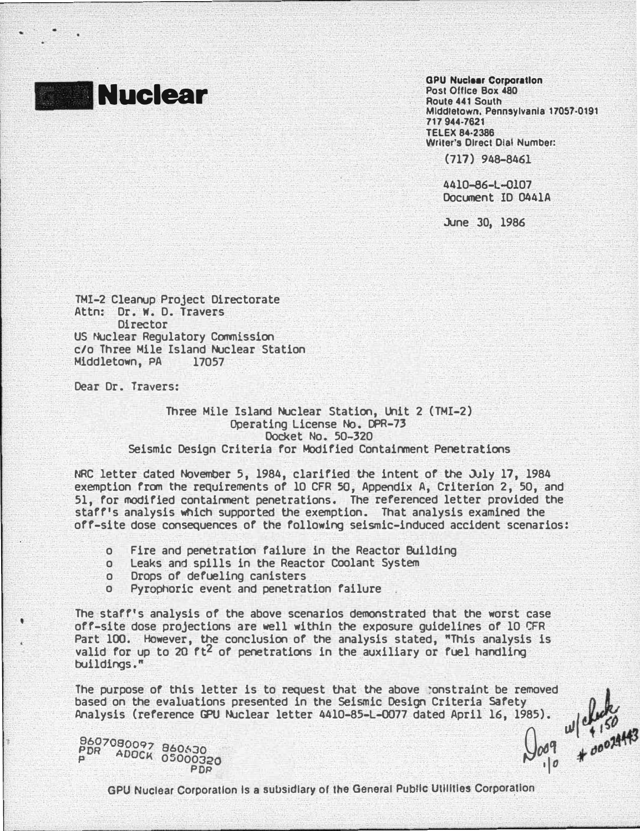

GPU Nucleer Corporetlon Post Office Box 480 Route 441 South Middletown, Pennsylvania 17057·0191 717 944-7621 TELEX 84·2386 Writer's Direct Dial Number:

(717) 948-8461

4410-86-l-Ql07 Document ID 0441A

June 30, 1986

TMI-2 Cleanup Project Directorate Attn: Dr. w. D. Travers **Director** US Nuclear Regulatory Commission c/o Three Mile Island Nuclear Station Middletown, PA 17057

Dear Dr. Travers:

## Three Mile Island Nuclear Station, Unit 2 (TMI-2) Operating License No. CPR-73 Docket No. 50-320 Seismic Design Criteria for Modified Containment Penetrations

NRC letter dated November 5, 1984, clarified the intent of the July 17, 1984 exemption from the requirements of 10 CFR 50, Appendix A, Criterion 2, 50, and 51, for modified containment penetrations. The referenced letter provided the staff's analysis Which supported the exemption. That analysis examined the off-site dose consequences of the following seismic-induced accident scenarios:

- o Fire and penetration failure in the Reactor Building
- o Leaks and spills in the Reactor Coolant System
- o Drops of defuellng canisters
- o Pyrophoric event and penetration failure .

The staff's analysis of the above scenarios demonstrated that the worst case off-site dose projections are well within the exposure guidelines of 10 CFR Part 100. However, the conclusion of the analysis stated, "This analysis is valid for up to 20  $ft^2$  of penetrations in the auxiliary or fuel handling buildings • "

The purpose of this letter is to request that the above ponstraint be removed based on the evaluations presented in the Seismic Design Criteria Safety Analysis (reference GPU Nuclear letter 4410-85-L-0077 dated April 16, 1985).

pgz7osoo97 B6063o �� .£. "Do�� <sup>p</sup>ADOCK 05000320

 $985$ ).  $w|^{0.460}$ <br> $0.09$   $*$  00074443 PDP ·ID �

GPU Nuclear Corporation Is a subsidiary of the General Public Utilities Corporation